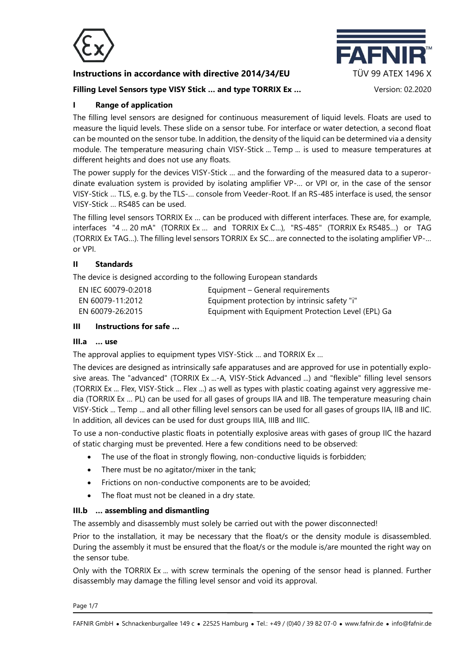

# **Instructions in accordance with directive 2014/34/EU TÜV 99 ATEX 1496 X**

# **Filling Level Sensors type VISY Stick ... and type TORRIX Ex ...** Version: 02.2020



# **I Range of application**

The filling level sensors are designed for continuous measurement of liquid levels. Floats are used to measure the liquid levels. These slide on a sensor tube. For interface or water detection, a second float can be mounted on the sensor tube. In addition, the density of the liquid can be determined via a density module. The temperature measuring chain VISY-Stick ... Temp ... is used to measure temperatures at different heights and does not use any floats.

The power supply for the devices VISY-Stick … and the forwarding of the measured data to a superordinate evaluation system is provided by isolating amplifier VP-… or VPI or, in the case of the sensor VISY-Stick … TLS, e. g. by the TLS-… console from Veeder-Root. If an RS-485 interface is used, the sensor VISY-Stick … RS485 can be used.

The filling level sensors TORRIX Ex … can be produced with different interfaces. These are, for example, interfaces "4 … 20 mA" (TORRIX Ex … and TORRIX Ex C…), "RS-485" (TORRIX Ex RS485…) or TAG (TORRIX Ex TAG…). The filling level sensors TORRIX Ex SC… are connected to the isolating amplifier VP-… or VPI.

#### **II Standards**

The device is designed according to the following European standards

| EN IEC 60079-0:2018 | Equipment – General requirements                   |
|---------------------|----------------------------------------------------|
| EN 60079-11:2012    | Equipment protection by intrinsic safety "i"       |
| EN 60079-26:2015    | Equipment with Equipment Protection Level (EPL) Ga |

## **III Instructions for safe …**

#### **III.a … use**

The approval applies to equipment types VISY-Stick … and TORRIX Ex …

The devices are designed as intrinsically safe apparatuses and are approved for use in potentially explosive areas. The "advanced" (TORRIX Ex ...-A, VISY-Stick Advanced ...) and "flexible" filling level sensors (TORRIX Ex ... Flex, VISY-Stick ... Flex ...) as well as types with plastic coating against very aggressive media (TORRIX Ex … PL) can be used for all gases of groups IIA and IIB. The temperature measuring chain VISY-Stick ... Temp ... and all other filling level sensors can be used for all gases of groups IIA, IIB and IIC. In addition, all devices can be used for dust groups IIIA, IIIB and IIIC.

To use a non-conductive plastic floats in potentially explosive areas with gases of group IIC the hazard of static charging must be prevented. Here a few conditions need to be observed:

- The use of the float in strongly flowing, non-conductive liquids is forbidden;
- There must be no agitator/mixer in the tank;
- Frictions on non-conductive components are to be avoided;
- The float must not be cleaned in a dry state.

#### **III.b … assembling and dismantling**

The assembly and disassembly must solely be carried out with the power disconnected!

Prior to the installation, it may be necessary that the float/s or the density module is disassembled. During the assembly it must be ensured that the float/s or the module is/are mounted the right way on the sensor tube.

Only with the TORRIX Ex ... with screw terminals the opening of the sensor head is planned. Further disassembly may damage the filling level sensor and void its approval.

Page 1/7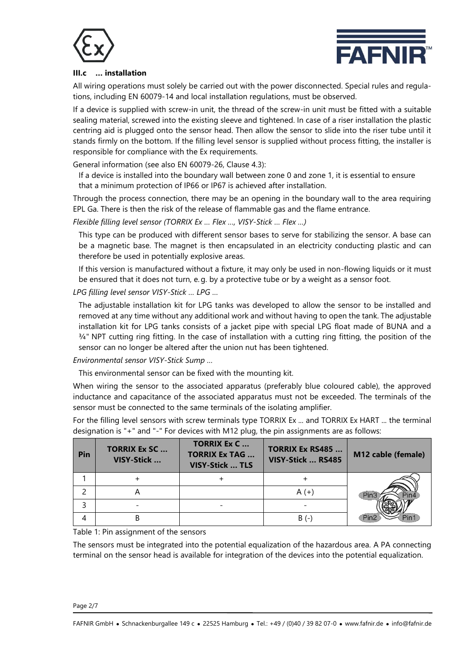



## **III.c … installation**

All wiring operations must solely be carried out with the power disconnected. Special rules and regulations, including EN 60079-14 and local installation regulations, must be observed.

If a device is supplied with screw-in unit, the thread of the screw-in unit must be fitted with a suitable sealing material, screwed into the existing sleeve and tightened. In case of a riser installation the plastic centring aid is plugged onto the sensor head. Then allow the sensor to slide into the riser tube until it stands firmly on the bottom. If the filling level sensor is supplied without process fitting, the installer is responsible for compliance with the Ex requirements.

General information (see also EN 60079-26, Clause 4.3):

If a device is installed into the boundary wall between zone 0 and zone 1, it is essential to ensure that a minimum protection of IP66 or IP67 is achieved after installation.

Through the process connection, there may be an opening in the boundary wall to the area requiring EPL Ga. There is then the risk of the release of flammable gas and the flame entrance.

*Flexible filling level sensor (TORRIX Ex … Flex …, VISY-Stick … Flex …)*

This type can be produced with different sensor bases to serve for stabilizing the sensor. A base can be a magnetic base. The magnet is then encapsulated in an electricity conducting plastic and can therefore be used in potentially explosive areas.

If this version is manufactured without a fixture, it may only be used in non-flowing liquids or it must be ensured that it does not turn, e. g. by a protective tube or by a weight as a sensor foot.

*LPG filling level sensor VISY-Stick … LPG …*

The adjustable installation kit for LPG tanks was developed to allow the sensor to be installed and removed at any time without any additional work and without having to open the tank. The adjustable installation kit for LPG tanks consists of a jacket pipe with special LPG float made of BUNA and a ¾" NPT cutting ring fitting. In the case of installation with a cutting ring fitting, the position of the sensor can no longer be altered after the union nut has been tightened.

*Environmental sensor VISY-Stick Sump …*

This environmental sensor can be fixed with the mounting kit.

When wiring the sensor to the associated apparatus (preferably blue coloured cable), the approved inductance and capacitance of the associated apparatus must not be exceeded. The terminals of the sensor must be connected to the same terminals of the isolating amplifier.

For the filling level sensors with screw terminals type TORRIX Ex ... and TORRIX Ex HART ... the terminal designation is "+" and "-" For devices with M12 plug, the pin assignments are as follows:

| Pin | <b>TORRIX Ex SC</b><br>VISY-Stick | <b>TORRIX Ex C</b><br><b>TORRIX Ex TAG </b><br><b>VISY-Stick  TLS</b> | <b>TORRIX Ex RS485 </b><br>VISY-Stick  RS485 | M12 cable (female) |
|-----|-----------------------------------|-----------------------------------------------------------------------|----------------------------------------------|--------------------|
|     |                                   |                                                                       |                                              |                    |
|     |                                   |                                                                       | A (+                                         |                    |
|     |                                   |                                                                       |                                              |                    |
|     |                                   |                                                                       | $B(-$                                        |                    |

Table 1: Pin assignment of the sensors

The sensors must be integrated into the potential equalization of the hazardous area. A PA connecting terminal on the sensor head is available for integration of the devices into the potential equalization.

Page 2/7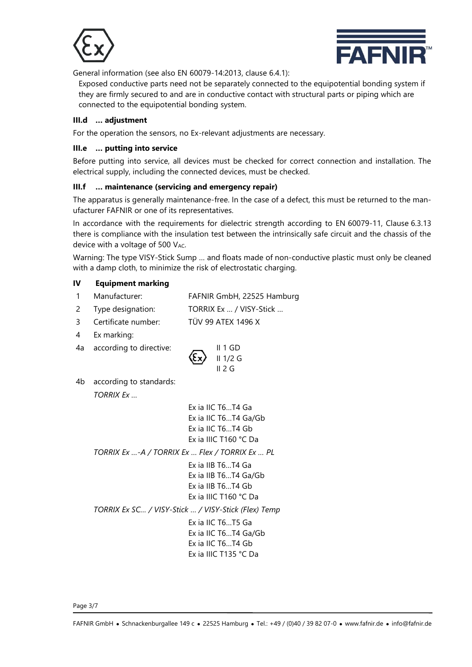



General information (see also EN 60079-14:2013, clause 6.4.1):

Exposed conductive parts need not be separately connected to the equipotential bonding system if they are firmly secured to and are in conductive contact with structural parts or piping which are connected to the equipotential bonding system.

## **III.d … adjustment**

For the operation the sensors, no Ex-relevant adjustments are necessary.

## **III.e … putting into service**

Before putting into service, all devices must be checked for correct connection and installation. The electrical supply, including the connected devices, must be checked.

# **III.f … maintenance (servicing and emergency repair)**

The apparatus is generally maintenance-free. In the case of a defect, this must be returned to the manufacturer FAFNIR or one of its representatives.

In accordance with the requirements for dielectric strength according to EN 60079-11, Clause 6.3.13 there is compliance with the insulation test between the intrinsically safe circuit and the chassis of the device with a voltage of 500  $V_{AC}$ .

Warning: The type VISY-Stick Sump … and floats made of non-conductive plastic must only be cleaned with a damp cloth, to minimize the risk of electrostatic charging.

# **IV Equipment marking**

- 1 Manufacturer: FAFNIR GmbH, 22525 Hamburg
- 2 Type designation: TORRIX Ex … / VISY-Stick …
- 3 Certificate number: TÜV 99 ATEX 1496 X
- 4 Ex marking:
- 4a according to directive: <u>\_\_\_</u> II 1 GD



4b according to standards: *TORRIX Ex …*

> Ex ia IIC T6…T4 Ga Ex ia IIC T6…T4 Ga/Gb Ex ia IIC T6…T4 Gb Ex ia IIIC T160 °C Da *TORRIX Ex …-A / TORRIX Ex … Flex / TORRIX Ex … PL* Ex ia IIB T6…T4 Ga Ex ia IIB T6…T4 Ga/Gb

Ex ia IIB T6…T4 Gb Ex ia IIIC T160 °C Da

*TORRIX Ex SC… / VISY-Stick … / VISY-Stick (Flex) Temp*

Ex ia IIC T6…T5 Ga Ex ia IIC T6…T4 Ga/Gb Ex ia IIC T6…T4 Gb Ex ia IIIC T135 °C Da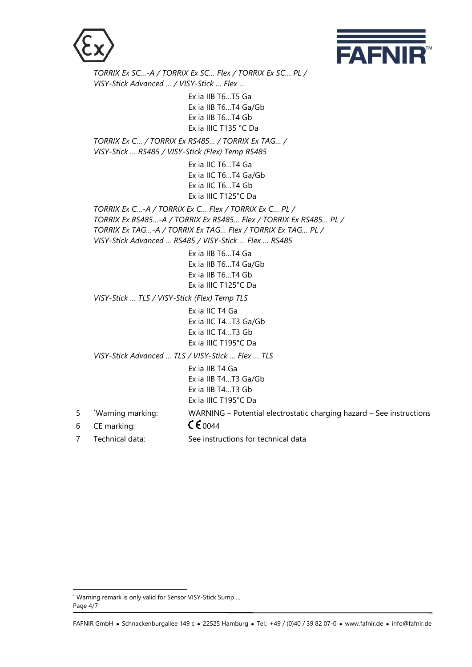



*TORRIX Ex SC…-A / TORRIX Ex SC… Flex / TORRIX Ex SC… PL / VISY-Stick Advanced … / VISY-Stick … Flex …* Ex ia IIB T6…T5 Ga Ex ia IIB T6…T4 Ga/Gb Ex ia IIB T6…T4 Gb Ex ia IIIC T135 °C Da *TORRIX Ex C… / TORRIX Ex RS485… / TORRIX Ex TAG… / VISY-Stick … RS485 / VISY-Stick (Flex) Temp RS485* Ex ia IIC T6…T4 Ga Ex ia IIC T6…T4 Ga/Gb Ex ia IIC T6…T4 Gb Ex ia IIIC T125°C Da *TORRIX Ex C…-A / TORRIX Ex C… Flex / TORRIX Ex C… PL / TORRIX Ex RS485…-A / TORRIX Ex RS485… Flex / TORRIX Ex RS485… PL / TORRIX Ex TAG…-A / TORRIX Ex TAG… Flex / TORRIX Ex TAG… PL / VISY-Stick Advanced … RS485 / VISY-Stick … Flex … RS485* Ex ia IIB T6…T4 Ga Ex ia IIB T6…T4 Ga/Gb Ex ia IIB T6…T4 Gb Ex ia IIIC T125°C Da *VISY-Stick … TLS / VISY-Stick (Flex) Temp TLS* Ex ia IIC T4 Ga Ex ia IIC T4…T3 Ga/Gb Ex ia IIC T4…T3 Gb Ex ia IIIC T195°C Da *VISY-Stick Advanced … TLS / VISY-Stick … Flex … TLS* Ex ia IIB T4 Ga Ex ia IIB T4…T3 Ga/Gb Ex ia IIB T4…T3 Gb Ex ia IIIC T195°C Da \*Warning marking: WARNING – Potential electrostatic charging hazard – See instructions 6 CE marking:  $\text{CE}$  **CE** 0044

7 Technical data: See instructions for technical data

5

<sup>\*</sup> Warning remark is only valid for Sensor VISY-Stick Sump …

Page 4/7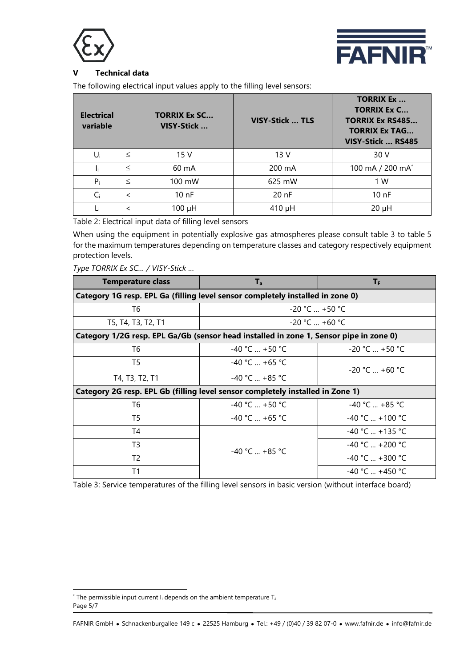



# **V Technical data**

The following electrical input values apply to the filling level sensors:

| <b>Electrical</b><br>variable |                          | <b>TORRIX Ex SC</b><br>VISY-Stick | VISY-Stick  TLS  | <b>TORRIX Ex</b><br><b>TORRIX Ex C</b><br><b>TORRIX Ex RS485</b><br><b>TORRIX Ex TAG</b><br>VISY-Stick  RS485 |
|-------------------------------|--------------------------|-----------------------------------|------------------|---------------------------------------------------------------------------------------------------------------|
| Ui                            | $\leq$                   | 15 V                              | 13 V             | 30 V                                                                                                          |
| 1ì.                           | $\leq$                   | $60 \text{ mA}$                   | 200 mA           | 100 mA / 200 mA <sup>*</sup>                                                                                  |
| $P_i$                         | $\leq$                   | 100 mW                            | 625 mW           | 1 W                                                                                                           |
| $C_i$                         | $\overline{\phantom{a}}$ | 10nF                              | 20 <sub>nP</sub> | 10nF                                                                                                          |
| Li                            | $\overline{\phantom{a}}$ | $100 \mu H$                       | 410 µH           | $20 \mu H$                                                                                                    |

Table 2: Electrical input data of filling level sensors

When using the equipment in potentially explosive gas atmospheres please consult table 3 to table 5 for the maximum temperatures depending on temperature classes and category respectively equipment protection levels.

*Type TORRIX Ex SC… / VISY-Stick …*

| <b>Temperature class</b>                                                               | $T_a$              | $T_{\rm F}$               |  |
|----------------------------------------------------------------------------------------|--------------------|---------------------------|--|
| Category 1G resp. EPL Ga (filling level sensor completely installed in zone 0)         |                    |                           |  |
| T6                                                                                     | $-20$ °C $$ +50 °C |                           |  |
| T5, T4, T3, T2, T1                                                                     | $-20$ °C $+60$ °C  |                           |  |
| Category 1/2G resp. EPL Ga/Gb (sensor head installed in zone 1, Sensor pipe in zone 0) |                    |                           |  |
| T6                                                                                     | $-40 °C  +50 °C$   | $-20$ °C $$ +50 °C        |  |
| T5                                                                                     | $-40 °C + 65 °C$   | $-20 °C + 60 °C$          |  |
| T4, T3, T2, T1                                                                         | $-40 °C + 85 °C$   |                           |  |
| Category 2G resp. EPL Gb (filling level sensor completely installed in Zone 1)         |                    |                           |  |
| T6                                                                                     | $-40 °C + 50 °C$   | $-40 °C + 85 °C$          |  |
| T5                                                                                     | $-40 °C + 65 °C$   | $-40$ °C $\ldots$ +100 °C |  |
| T4                                                                                     |                    | $-40 °C + 135 °C$         |  |
| T3                                                                                     | $-40 °C = +85 °C$  | $-40$ °C $ + 200$ °C      |  |
| T2                                                                                     |                    | $-40$ °C  +300 °C         |  |
| Τ1                                                                                     |                    | $-40 °C + 450 °C$         |  |

Table 3: Service temperatures of the filling level sensors in basic version (without interface board)

Page 5/7

 $*$  The permissible input current I<sub>i</sub> depends on the ambient temperature T<sub>a</sub>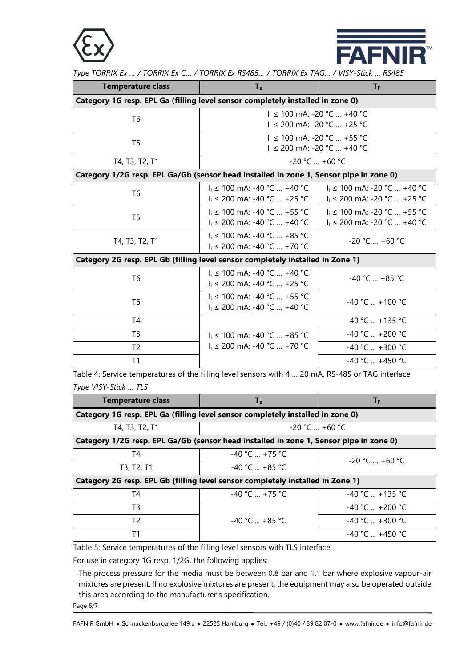



*Type TORRIX Ex … / TORRIX Ex C… / TORRIX Ex RS485… / TORRIX Ex TAG… / VISY-Stick … RS485*

| <b>Temperature class</b>                                                               | $T_a$                                                                      | $T_F$                                                                |  |
|----------------------------------------------------------------------------------------|----------------------------------------------------------------------------|----------------------------------------------------------------------|--|
| Category 1G resp. EPL Ga (filling level sensor completely installed in zone 0)         |                                                                            |                                                                      |  |
| T <sub>6</sub>                                                                         | $i \le 100$ mA: -20 °C $\ldots$ +40 °C<br>$I_i \le 200$ mA: -20 °C  +25 °C |                                                                      |  |
| T <sub>5</sub>                                                                         | $I_i \le 100$ mA: -20 °C  +55 °C<br>$I_i \le 200$ mA: -20 °C  +40 °C       |                                                                      |  |
| T4, T3, T2, T1                                                                         | $-20 °C  +60 °C$                                                           |                                                                      |  |
| Category 1/2G resp. EPL Ga/Gb (sensor head installed in zone 1, Sensor pipe in zone 0) |                                                                            |                                                                      |  |
| T <sub>6</sub>                                                                         | $I_i$ ≤ 100 mA: -40 °C  +40 °C<br>$I_i$ ≤ 200 mA: -40 °C  +25 °C           | $I_i \le 100$ mA: -20 °C  +40 °C<br>$i_1 \le 200$ mA: -20 °C  +25 °C |  |
| T <sub>5</sub>                                                                         | $I_i \le 100$ mA: -40 °C  +55 °C<br>$I_i \le 200$ mA: -40 °C  +40 °C       | $I_i \le 100$ mA: -20 °C  +55 °C<br>$I_i \le 200$ mA: -20 °C  +40 °C |  |
| T4, T3, T2, T1                                                                         | $I_i$ ≤ 100 mA: -40 °C  +85 °C<br>$I_i \le 200$ mA: -40 °C  +70 °C         | $-20 °C$ +60 °C                                                      |  |
| Category 2G resp. EPL Gb (filling level sensor completely installed in Zone 1)         |                                                                            |                                                                      |  |
| T <sub>6</sub>                                                                         | $i_1 \le 100$ mA: -40 °C  +40 °C<br>$I_i$ ≤ 200 mA: -40 °C  +25 °C         | -40 °C  +85 °C                                                       |  |
| T5                                                                                     | $I_i \le 100$ mA: -40 °C  +55 °C<br>$I_i \le 200$ mA: -40 °C  +40 °C       | $-40 °C$ +100 °C                                                     |  |
| T4                                                                                     | $I_i$ ≤ 100 mA: -40 °C  +85 °C<br>$I_i \le 200$ mA: -40 °C  +70 °C         | -40 °C  +135 °C                                                      |  |
| T3                                                                                     |                                                                            | $-40$ °C  +200 °C                                                    |  |
| T <sub>2</sub>                                                                         |                                                                            | $-40 °C$ +300 °C                                                     |  |
| T1                                                                                     |                                                                            | $-40 °C + 450 °C$                                                    |  |

Table 4: Service temperatures of the filling level sensors with 4 … 20 mA, RS-485 or TAG interface *Type VISY-Stick … TLS*

| <b>Temperature class</b>                                                               | $T_a$            | ΤF                |  |
|----------------------------------------------------------------------------------------|------------------|-------------------|--|
| Category 1G resp. EPL Ga (filling level sensor completely installed in zone 0)         |                  |                   |  |
| T4, T3, T2, T1                                                                         | $-20$ °C  +60 °C |                   |  |
| Category 1/2G resp. EPL Ga/Gb (sensor head installed in zone 1, Sensor pipe in zone 0) |                  |                   |  |
| T4                                                                                     | $-40 °C + 75 °C$ | $-20 °C  +60 °C$  |  |
| T <sub>3</sub> , T <sub>2</sub> , T <sub>1</sub>                                       | $-40 °C + 85 °C$ |                   |  |
| Category 2G resp. EPL Gb (filling level sensor completely installed in Zone 1)         |                  |                   |  |
| T4                                                                                     | $-40 °C + 75 °C$ | $-40$ °C  +135 °C |  |
| T <sub>3</sub>                                                                         |                  | $-40 °C + 200 °C$ |  |
| T2                                                                                     | $-40 °C$ +85 °C  | $-40 °C + 300 °C$ |  |
| Τ1                                                                                     |                  | $-40 °C + 450 °C$ |  |

Table 5: Service temperatures of the filling level sensors with TLS interface

For use in category 1G resp. 1/2G, the following applies:

The process pressure for the media must be between 0.8 bar and 1.1 bar where explosive vapour-air mixtures are present. If no explosive mixtures are present, the equipment may also be operated outside this area according to the manufacturer's specification.

Page 6/7